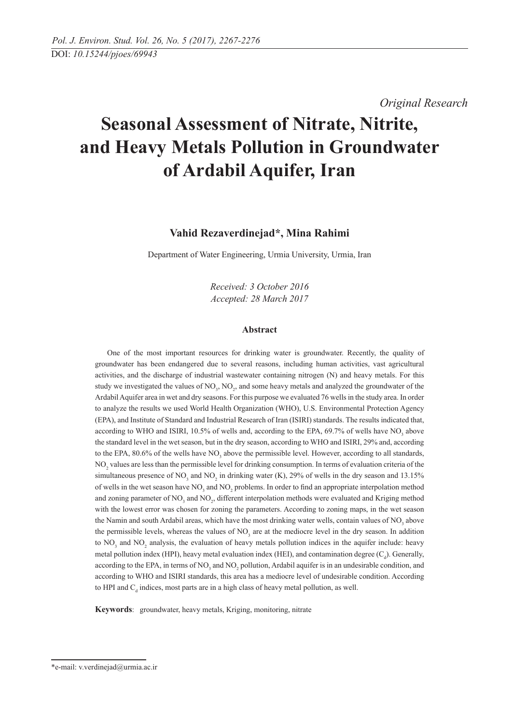*Original Research* 

# **Seasonal Assessment of Nitrate, Nitrite, and Heavy Metals Pollution in Groundwater of Ardabil Aquifer, Iran**

# **Vahid Rezaverdinejad\*, Mina Rahimi**

Department of Water Engineering, Urmia University, Urmia, Iran

*Received: 3 October 2016 Accepted: 28 March 2017*

# **Abstract**

One of the most important resources for drinking water is groundwater. Recently, the quality of groundwater has been endangered due to several reasons, including human activities, vast agricultural activities, and the discharge of industrial wastewater containing nitrogen (N) and heavy metals. For this study we investigated the values of  $NO_3$ ,  $NO_2$ , and some heavy metals and analyzed the groundwater of the Ardabil Aquifer area in wet and dry seasons. For this purpose we evaluated 76 wells in the study area. In order to analyze the results we used World Health Organization (WHO), U.S. Environmental Protection Agency (EPA), and Institute of Standard and Industrial Research of Iran (ISIRI) standards. The results indicated that, according to WHO and ISIRI, 10.5% of wells and, according to the EPA,  $69.7\%$  of wells have NO<sub>3</sub> above the standard level in the wet season, but in the dry season, according to WHO and ISIRI, 29% and, according to the EPA,  $80.6\%$  of the wells have NO<sub>3</sub> above the permissible level. However, according to all standards, NO<sub>2</sub> values are less than the permissible level for drinking consumption. In terms of evaluation criteria of the simultaneous presence of  $NO_3$  and  $NO_2$  in drinking water (K), 29% of wells in the dry season and 13.15% of wells in the wet season have  $NO_3$  and  $NO_2$  problems. In order to find an appropriate interpolation method and zoning parameter of  $NO<sub>3</sub>$  and  $NO<sub>2</sub>$ , different interpolation methods were evaluated and Kriging method with the lowest error was chosen for zoning the parameters. According to zoning maps, in the wet season the Namin and south Ardabil areas, which have the most drinking water wells, contain values of  $NO<sub>3</sub>$  above the permissible levels, whereas the values of  $NO<sub>3</sub>$  are at the mediocre level in the dry season. In addition to  $NO_3$  and  $NO_2$  analysis, the evaluation of heavy metals pollution indices in the aquifer include: heavy metal pollution index (HPI), heavy metal evaluation index (HEI), and contamination degree  $(C_d)$ . Generally, according to the EPA, in terms of  $NO_3$  and  $NO_2$  pollution, Ardabil aquifer is in an undesirable condition, and according to WHO and ISIRI standards, this area has a mediocre level of undesirable condition. According to HPI and  $C_d$  indices, most parts are in a high class of heavy metal pollution, as well.

**Keywords**: groundwater, heavy metals, Kriging, monitoring, nitrate

<sup>\*</sup>e-mail: v.verdinejad@urmia.ac.ir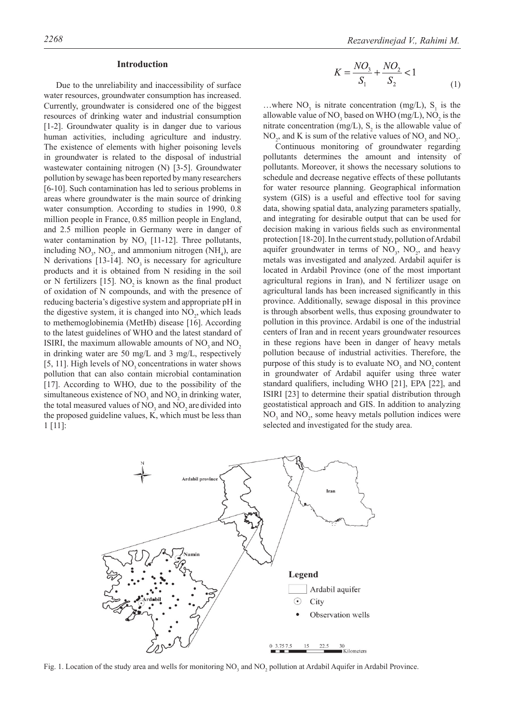## **Introduction**

Due to the unreliability and inaccessibility of surface water resources, groundwater consumption has increased. Currently, groundwater is considered one of the biggest resources of drinking water and industrial consumption [1-2]. Groundwater quality is in danger due to various human activities, including agriculture and industry. The existence of elements with higher poisoning levels in groundwater is related to the disposal of industrial wastewater containing nitrogen (N) [3-5]. Groundwater pollution by sewage has been reported by many researchers [6-10]. Such contamination has led to serious problems in areas where groundwater is the main source of drinking water consumption. According to studies in 1990, 0.8 million people in France, 0.85 million people in England, and 2.5 million people in Germany were in danger of water contamination by  $NO_3$  [11-12]. Three pollutants, including  $NO_3$ ,  $NO_2$ , and ammonium nitrogen (NH<sub>4</sub>), are N derivations [13-14]. NO<sub>3</sub> is necessary for agriculture products and it is obtained from N residing in the soil or N fertilizers  $[15]$ . NO<sub>2</sub> is known as the final product of oxidation of N compounds, and with the presence of reducing bacteria's digestive system and appropriate pH in the digestive system, it is changed into  $NO<sub>2</sub>$ , which leads to methemoglobinemia (MetHb) disease [16]. According to the latest guidelines of WHO and the latest standard of ISIRI, the maximum allowable amounts of  $NO<sub>3</sub>$  and  $NO<sub>2</sub>$ in drinking water are 50 mg/L and 3 mg/L, respectively [5, 11]. High levels of NO<sub>2</sub> concentrations in water shows pollution that can also contain microbial contamination [17]. According to WHO, due to the possibility of the simultaneous existence of  $NO_3$  and  $NO_2$  in drinking water, the total measured values of  $NO_3$  and  $NO_2$  are divided into the proposed guideline values, K, which must be less than 1 [11]:

$$
K = \frac{NO_3}{S_1} + \frac{NO_2}{S_2} < 1\tag{1}
$$

...where  $NO_3$  is nitrate concentration (mg/L),  $S_1$  is the allowable value of NO<sub>3</sub> based on WHO (mg/L), NO<sub>2</sub> is the nitrate concentration (mg/L),  $S_2$  is the allowable value of  $NO_2$ , and K is sum of the relative values of  $NO_3$  and  $NO_2$ .

Continuous monitoring of groundwater regarding pollutants determines the amount and intensity of pollutants. Moreover, it shows the necessary solutions to schedule and decrease negative effects of these pollutants for water resource planning. Geographical information system (GIS) is a useful and effective tool for saving data, showing spatial data, analyzing parameters spatially, and integrating for desirable output that can be used for decision making in various fields such as environmental protection [18-20]. In the current study, pollution of Ardabil aquifer groundwater in terms of  $NO_3$ ,  $NO_2$ , and heavy metals was investigated and analyzed. Ardabil aquifer is located in Ardabil Province (one of the most important agricultural regions in Iran), and N fertilizer usage on agricultural lands has been increased significantly in this province. Additionally, sewage disposal in this province is through absorbent wells, thus exposing groundwater to pollution in this province. Ardabil is one of the industrial centers of Iran and in recent years groundwater resources in these regions have been in danger of heavy metals pollution because of industrial activities. Therefore, the purpose of this study is to evaluate  $NO<sub>3</sub>$  and  $NO<sub>2</sub>$  content in groundwater of Ardabil aquifer using three water standard qualifiers, including WHO [21], EPA [22], and ISIRI [23] to determine their spatial distribution through geostatistical approach and GIS. In addition to analyzing  $NO<sub>3</sub>$  and  $NO<sub>2</sub>$ , some heavy metals pollution indices were selected and investigated for the study area.



Fig. 1. Location of the study area and wells for monitoring  $NO_3$  and  $NO_2$  pollution at Ardabil Aquifer in Ardabil Province.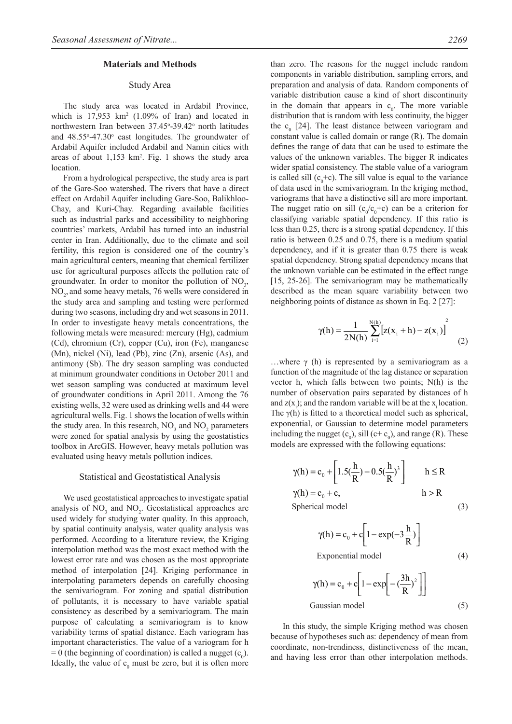#### **Materials and Methods**

# Study Area

The study area was located in Ardabil Province, which is  $17,953 \text{ km}^2$  (1.09% of Iran) and located in northwestern Iran between 37.45°-39.42° north latitudes and 48.55°-47.30° east longitudes. The groundwater of Ardabil Aquifer included Ardabil and Namin cities with areas of about  $1,153 \text{ km}^2$ . Fig. 1 shows the study area location.

From a hydrological perspective, the study area is part of the Gare-Soo watershed. The rivers that have a direct effect on Ardabil Aquifer including Gare-Soo, Balikhloo-Chay, and Kuri-Chay. Regarding available facilities such as industrial parks and accessibility to neighboring countries' markets, Ardabil has turned into an industrial center in Iran. Additionally, due to the climate and soil fertility, this region is considered one of the country's main agricultural centers, meaning that chemical fertilizer use for agricultural purposes affects the pollution rate of groundwater. In order to monitor the pollution of  $NO<sub>3</sub>$ , NO<sub>2</sub>, and some heavy metals, 76 wells were considered in the study area and sampling and testing were performed during two seasons, including dry and wet seasons in 2011. In order to investigate heavy metals concentrations, the following metals were measured: mercury (Hg), cadmium (Cd), chromium (Cr), copper (Cu), iron (Fe), manganese (Mn), nickel (Ni), lead (Pb), zinc (Zn), arsenic (As), and antimony (Sb). The dry season sampling was conducted at minimum groundwater conditions in October 2011 and wet season sampling was conducted at maximum level of groundwater conditions in April 2011. Among the 76 existing wells, 32 were used as drinking wells and 44 were agricultural wells. Fig. 1 shows the location of wells within the study area. In this research,  $NO<sub>3</sub>$  and  $NO<sub>2</sub>$  parameters were zoned for spatial analysis by using the geostatistics toolbox in ArcGIS. However, heavy metals pollution was evaluated using heavy metals pollution indices.

#### Statistical and Geostatistical Analysis

We used geostatistical approaches to investigate spatial analysis of  $NO_3$  and  $NO_2$ . Geostatistical approaches are used widely for studying water quality. In this approach, by spatial continuity analysis, water quality analysis was performed. According to a literature review, the Kriging interpolation method was the most exact method with the lowest error rate and was chosen as the most appropriate method of interpolation [24]. Kriging performance in interpolating parameters depends on carefully choosing the semivariogram. For zoning and spatial distribution of pollutants, it is necessary to have variable spatial consistency as described by a semivariogram. The main purpose of calculating a semivariogram is to know variability terms of spatial distance. Each variogram has important characteristics. The value of a variogram for h  $= 0$  (the beginning of coordination) is called a nugget  $(c_0)$ . Ideally, the value of  $c_0$  must be zero, but it is often more than zero. The reasons for the nugget include random components in variable distribution, sampling errors, and preparation and analysis of data. Random components of variable distribution cause a kind of short discontinuity in the domain that appears in  $c_0$ . The more variable distribution that is random with less continuity, the bigger the  $c_0$  [24]. The least distance between variogram and constant value is called domain or range (R). The domain defines the range of data that can be used to estimate the values of the unknown variables. The bigger R indicates wider spatial consistency. The stable value of a variogram is called sill  $(c_0 + c)$ . The sill value is equal to the variance of data used in the semivariogram. In the kriging method, variograms that have a distinctive sill are more important. The nugget ratio on sill  $(c_0/c_0+c)$  can be a criterion for classifying variable spatial dependency. If this ratio is less than 0.25, there is a strong spatial dependency. If this ratio is between 0.25 and 0.75, there is a medium spatial dependency, and if it is greater than 0.75 there is weak spatial dependency. Strong spatial dependency means that the unknown variable can be estimated in the effect range [15, 25-26]. The semivariogram may be mathematically described as the mean square variability between two neighboring points of distance as shown in Eq. 2 [27]:

$$
\gamma(h) = \frac{1}{2N(h)} \sum_{i=1}^{N(h)} \left[ z(x_i + h) - z(x_i) \right]^2 \tag{2}
$$

...where  $\gamma$  (h) is represented by a semivariogram as a function of the magnitude of the lag distance or separation vector h, which falls between two points; N(h) is the number of observation pairs separated by distances of h and  $z(x_i)$ ; and the random variable will be at the  $x_i$  location. The  $\gamma$ (h) is fitted to a theoretical model such as spherical, exponential, or Gaussian to determine model parameters including the nugget  $(c_0)$ , sill  $(c+c_0)$ , and range (R). These models are expressed with the following equations:

$$
\gamma(h) = c_0 + \left[ 1.5(\frac{h}{R}) - 0.5(\frac{h}{R})^3 \right] \qquad h \le R
$$
  
\n
$$
\gamma(h) = c_0 + c,
$$
  
\nSpherical model  
\n(3)

$$
\gamma(h) = c_0 + c \left[ 1 - \exp(-3\frac{h}{R}) \right]
$$
  
Exponential model (4)

$$
\gamma(h) = c_0 + c \left[ 1 - \exp \left[ -\left( \frac{3h}{R} \right)^2 \right] \right]
$$
  
Gaussian model (5)

In this study, the simple Kriging method was chosen because of hypotheses such as: dependency of mean from coordinate, non-trendiness, distinctiveness of the mean, and having less error than other interpolation methods.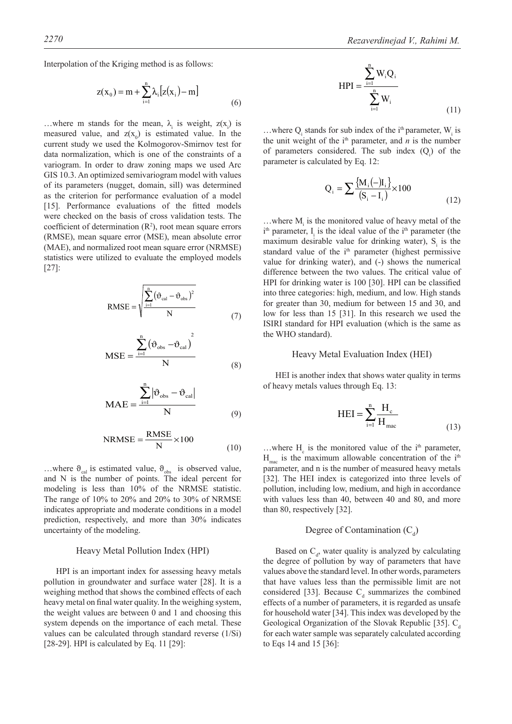Interpolation of the Kriging method is as follows:

$$
z(x_0) = m + \sum_{i=1}^{n} \lambda_i [z(x_i) - m]
$$
 (6)

...where m stands for the mean,  $\lambda_i$  is weight,  $z(x_i)$  is measured value, and  $z(x_0)$  is estimated value. In the current study we used the Kolmogorov-Smirnov test for data normalization, which is one of the constraints of a variogram. In order to draw zoning maps we used Arc GIS 10.3. An optimized semivariogram model with values of its parameters (nugget, domain, sill) was determined as the criterion for performance evaluation of a model [15]. Performance evaluations of the fitted models were checked on the basis of cross validation tests. The coefficient of determination  $(R^2)$ , root mean square errors (RMSE), mean square error (MSE), mean absolute error (MAE), and normalized root mean square error (NRMSE) statistics were utilized to evaluate the employed models [27]:

$$
RMSE = \sqrt{\frac{\sum_{i=1}^{n} (\vartheta_{cal} - \vartheta_{obs})^2}{N}}
$$
 (7)

$$
MSE = \frac{\sum_{i=1}^{n} (\vartheta_{obs} - \vartheta_{cal})^{2}}{N}
$$
 (8)

$$
MAE = \frac{\sum_{i=1}^{n} |\vartheta_{obs} - \vartheta_{cal}|}{N}
$$
 (9)

$$
NRMSE = \frac{RMSE}{N} \times 100
$$
 (10)

...where  $\theta_{\text{cal}}$  is estimated value,  $\theta_{\text{obs}}$  is observed value, and N is the number of points. The ideal percent for modeling is less than 10% of the NRMSE statistic. The range of 10% to 20% and 20% to 30% of NRMSE indicates appropriate and moderate conditions in a model prediction, respectively, and more than 30% indicates uncertainty of the modeling.

# Heavy Metal Pollution Index (HPI)

HPI is an important index for assessing heavy metals pollution in groundwater and surface water [28]. It is a weighing method that shows the combined effects of each heavy metal on final water quality. In the weighing system, the weight values are between 0 and 1 and choosing this system depends on the importance of each metal. These values can be calculated through standard reverse (1/Si) [28-29]. HPI is calculated by Eq. 11 [29]:

$$
HPI = \frac{\sum_{i=1}^{n} W_i Q_i}{\sum_{i=1}^{n} W_i}
$$
 (11)

...where  $Q_i$  stands for sub index of the i<sup>th</sup> parameter,  $W_i$  is the unit weight of the  $i<sup>th</sup>$  parameter, and *n* is the number of parameters considered. The sub index  $(Q<sub>i</sub>)$  of the parameter is calculated by Eq. 12:

$$
Q_{i} = \sum \frac{\{M_{i}(-)I_{i}\}}{(S_{i} - I_{i})} \times 100
$$
\n(12)

...where  $M<sub>i</sub>$  is the monitored value of heavy metal of the  $i<sup>th</sup>$  parameter,  $I_i$  is the ideal value of the  $i<sup>th</sup>$  parameter (the maximum desirable value for drinking water),  $S<sub>i</sub>$  is the standard value of the i<sup>th</sup> parameter (highest permissive value for drinking water), and (-) shows the numerical difference between the two values. The critical value of HPI for drinking water is 100 [30]. HPI can be classified into three categories: high, medium, and low. High stands for greater than 30, medium for between 15 and 30, and low for less than 15 [31]. In this research we used the ISIRI standard for HPI evaluation (which is the same as the WHO standard).

# Heavy Metal Evaluation Index (HEI)

HEI is another index that shows water quality in terms of heavy metals values through Eq. 13:

$$
HEI = \sum_{i=1}^{n} \frac{H_c}{H_{\text{mac}}}
$$
\n(13)

...where  $H_c$  is the monitored value of the i<sup>th</sup> parameter,  $H_{\text{mac}}$  is the maximum allowable concentration of the i<sup>th</sup> parameter, and n is the number of measured heavy metals [32]. The HEI index is categorized into three levels of pollution, including low, medium, and high in accordance with values less than 40, between 40 and 80, and more than 80, respectively [32].

# Degree of Contamination  $(C_d)$

Based on  $C_d$ , water quality is analyzed by calculating the degree of pollution by way of parameters that have values above the standard level. In other words, parameters that have values less than the permissible limit are not considered [33]. Because  $C_d$  summarizes the combined effects of a number of parameters, it is regarded as unsafe for household water [34]. This index was developed by the Geological Organization of the Slovak Republic [35].  $C_d$ for each water sample was separately calculated according to Eqs 14 and 15 [36]: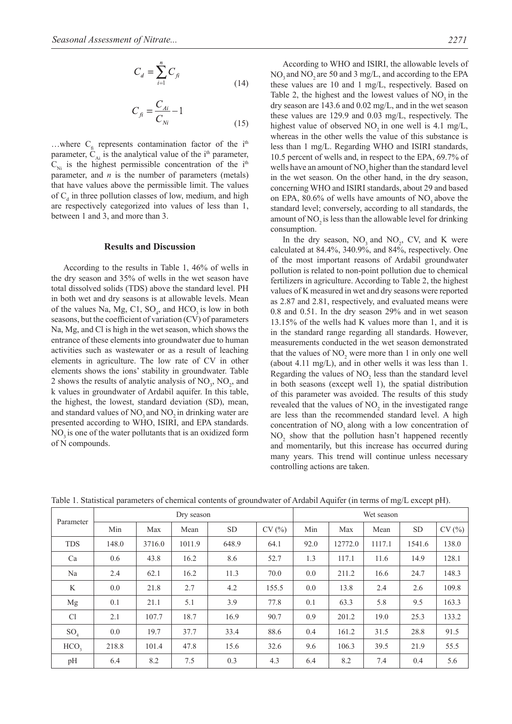$$
C_d = \sum_{i=1}^{n} C_{fi}
$$
\n(14)

$$
C_{fi} = \frac{C_{Ai}}{C_{Ni}} - 1
$$
\n(15)

...where  $C<sub>f<sub>i</sub></sub>$  represents contamination factor of the i<sup>th</sup> parameter,  $C_{Ai}$  is the analytical value of the i<sup>th</sup> parameter,  $C_{Ni}$  is the highest permissible concentration of the i<sup>th</sup> parameter, and *n* is the number of parameters (metals) that have values above the permissible limit. The values of  $C_d$  in three pollution classes of low, medium, and high are respectively categorized into values of less than 1, between 1 and 3, and more than 3.

### **Results and Discussion**

According to the results in Table 1, 46% of wells in the dry season and 35% of wells in the wet season have total dissolved solids (TDS) above the standard level. PH in both wet and dry seasons is at allowable levels. Mean of the values Na, Mg, C1,  $SO_4$ , and  $HCO_3$  is low in both seasons, but the coefficient of variation (CV) of parameters Na, Mg, and Cl is high in the wet season, which shows the entrance of these elements into groundwater due to human activities such as wastewater or as a result of leaching elements in agriculture. The low rate of CV in other elements shows the ions' stability in groundwater. Table 2 shows the results of analytic analysis of  $NO_3$ ,  $NO_2$ , and k values in groundwater of Ardabil aquifer. In this table, the highest, the lowest, standard deviation (SD), mean, and standard values of NO<sub>3</sub> and NO<sub>3</sub> in drinking water are presented according to WHO, ISIRI, and EPA standards. NO<sub>2</sub> is one of the water pollutants that is an oxidized form of N compounds.

According to WHO and ISIRI, the allowable levels of NO<sub>2</sub> and NO<sub>2</sub> are 50 and 3 mg/L, and according to the EPA these values are 10 and 1 mg/L, respectively. Based on Table 2, the highest and the lowest values of  $NO<sub>2</sub>$  in the dry season are 143.6 and 0.02 mg/L, and in the wet season these values are 129.9 and 0.03 mg/L, respectively. The highest value of observed  $NO<sub>2</sub>$  in one well is 4.1 mg/L, whereas in the other wells the value of this substance is less than 1 mg/L. Regarding WHO and ISIRI standards, 10.5 percent of wells and, in respect to the EPA, 69.7% of wells have an amount of NO<sub>2</sub> higher than the standard level in the wet season. On the other hand, in the dry season, concerning WHO and ISIRI standards, about 29 and based on EPA,  $80.6\%$  of wells have amounts of NO<sub>3</sub> above the standard level; conversely, according to all standards, the amount of  $NO<sub>2</sub>$  is less than the allowable level for drinking consumption.

In the dry season,  $NO_3$  and  $NO_2$ , CV, and K were calculated at 84.4%, 340.9%, and 84%, respectively. One of the most important reasons of Ardabil groundwater pollution is related to non-point pollution due to chemical fertilizers in agriculture. According to Table 2, the highest values of K measured in wet and dry seasons were reported as 2.87 and 2.81, respectively, and evaluated means were 0.8 and 0.51. In the dry season 29% and in wet season 13.15% of the wells had K values more than 1, and it is in the standard range regarding all standards. However, measurements conducted in the wet season demonstrated that the values of  $NO_2$  were more than 1 in only one well (about 4.11 mg/L), and in other wells it was less than 1. Regarding the values of  $NO<sub>2</sub>$  less than the standard level in both seasons (except well 1), the spatial distribution of this parameter was avoided. The results of this study revealed that the values of  $NO<sub>2</sub>$  in the investigated range are less than the recommended standard level. A high concentration of NO<sub>3</sub> along with a low concentration of  $NO<sub>2</sub>$  show that the pollution hasn't happened recently and momentarily, but this increase has occurred during many years. This trend will continue unless necessary controlling actions are taken.

|  |  |  | Table 1. Statistical parameters of chemical contents of groundwater of Ardabil Aquifer (in terms of mg/L except pH). |
|--|--|--|----------------------------------------------------------------------------------------------------------------------|
|  |  |  |                                                                                                                      |

|                  |       |        | Dry season |           |       | Wet season |         |        |           |       |
|------------------|-------|--------|------------|-----------|-------|------------|---------|--------|-----------|-------|
| Parameter        | Min   | Max    | Mean       | <b>SD</b> | CV(%) | Min        | Max     | Mean   | <b>SD</b> | CV(%) |
| <b>TDS</b>       | 148.0 | 3716.0 | 1011.9     | 648.9     | 64.1  | 92.0       | 12772.0 | 1117.1 | 1541.6    | 138.0 |
| Ca               | 0.6   | 43.8   | 16.2       | 8.6       | 52.7  | 1.3        | 117.1   | 11.6   | 14.9      | 128.1 |
| Na               | 2.4   | 62.1   | 16.2       | 11.3      | 70.0  | 0.0        | 211.2   | 16.6   | 24.7      | 148.3 |
| K                | 0.0   | 21.8   | 2.7        | 4.2       | 155.5 | 0.0        | 13.8    | 2.4    | 2.6       | 109.8 |
| Mg               | 0.1   | 21.1   | 5.1        | 3.9       | 77.8  | 0.1        | 63.3    | 5.8    | 9.5       | 163.3 |
| Cl               | 2.1   | 107.7  | 18.7       | 16.9      | 90.7  | 0.9        | 201.2   | 19.0   | 25.3      | 133.2 |
| SO <sub>4</sub>  | 0.0   | 19.7   | 37.7       | 33.4      | 88.6  | 0.4        | 161.2   | 31.5   | 28.8      | 91.5  |
| HCO <sub>3</sub> | 218.8 | 101.4  | 47.8       | 15.6      | 32.6  | 9.6        | 106.3   | 39.5   | 21.9      | 55.5  |
| pH               | 6.4   | 8.2    | 7.5        | 0.3       | 4.3   | 6.4        | 8.2     | 7.4    | 0.4       | 5.6   |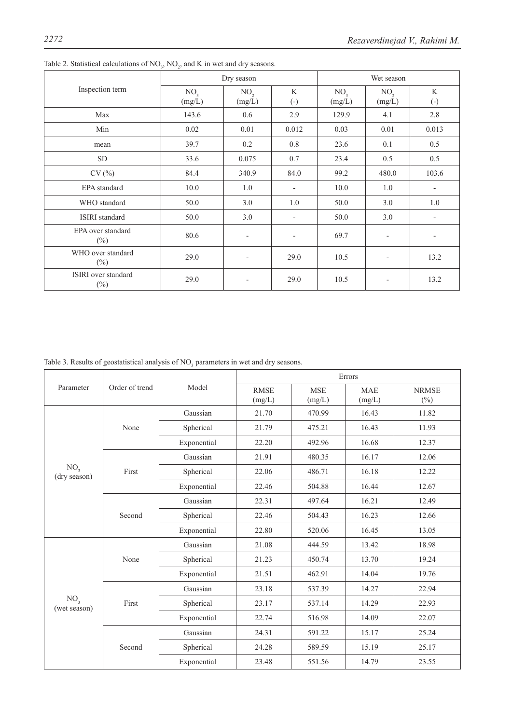|                               |                           | Dry season                |                                   |                           | Wet season                |                          |  |
|-------------------------------|---------------------------|---------------------------|-----------------------------------|---------------------------|---------------------------|--------------------------|--|
| Inspection term               | NO <sub>3</sub><br>(mg/L) | NO <sub>2</sub><br>(mg/L) | $\mathbf{K}$<br>$\left( -\right)$ | NO <sub>3</sub><br>(mg/L) | NO <sub>2</sub><br>(mg/L) | K<br>$\left( -\right)$   |  |
| Max                           | 143.6                     | 0.6                       | 2.9                               | 129.9                     | 4.1                       | 2.8                      |  |
| Min                           | 0.02                      | 0.01                      | 0.012                             | 0.03                      | 0.01                      | 0.013                    |  |
| mean                          | 39.7                      | 0.2                       | 0.8                               | 23.6                      | 0.1                       | 0.5                      |  |
| <b>SD</b>                     | 33.6                      | 0.075                     | 0.7                               | 23.4                      | 0.5                       | 0.5                      |  |
| CV(%)                         | 84.4                      | 340.9                     | 84.0                              | 99.2                      | 480.0                     | 103.6                    |  |
| EPA standard                  | 10.0                      | 1.0                       | $\overline{\phantom{a}}$          | 10.0                      | 1.0                       | $\overline{\phantom{a}}$ |  |
| WHO standard                  | 50.0                      | 3.0                       | 1.0                               | 50.0                      | 3.0                       | 1.0                      |  |
| <b>ISIRI</b> standard         | 50.0                      | 3.0                       | $\overline{\phantom{a}}$          | 50.0                      | 3.0                       | $\overline{\phantom{a}}$ |  |
| EPA over standard<br>$(\%)$   | 80.6                      | $\overline{\phantom{a}}$  | $\overline{\phantom{a}}$          | 69.7                      | $\blacksquare$            |                          |  |
| WHO over standard<br>$(\%)$   | 29.0                      | $\overline{\phantom{a}}$  | 29.0                              | 10.5                      |                           | 13.2                     |  |
| ISIRI over standard<br>$(\%)$ | 29.0                      | $\overline{\phantom{a}}$  | 29.0                              | 10.5                      | $\overline{\phantom{a}}$  | 13.2                     |  |

Table 2. Statistical calculations of  $NO_3$ ,  $NO_2$ , and K in wet and dry seasons.

Table 3. Results of geostatistical analysis of  $NO<sub>3</sub>$  parameters in wet and dry seasons.

|                                 |                |             |                                                                                        |  | Errors<br><b>MSE</b><br><b>MAE</b><br>(mg/L)<br>(mg/L)<br>16.43<br>470.99<br>16.43<br>475.21<br>16.68<br>492.96<br>16.17<br>480.35<br>16.18<br>486.71<br>16.44<br>504.88<br>497.64<br>16.21<br>16.23<br>504.43<br>520.06<br>16.45<br>13.42<br>444.59<br>450.74<br>13.70<br>462.91<br>14.04<br>537.39<br>14.27<br>537.14<br>14.29<br>516.98<br>14.09<br>591.22<br>15.17<br>589.59<br>15.19<br>14.79<br>551.56 |                        |
|---------------------------------|----------------|-------------|----------------------------------------------------------------------------------------|--|--------------------------------------------------------------------------------------------------------------------------------------------------------------------------------------------------------------------------------------------------------------------------------------------------------------------------------------------------------------------------------------------------------------|------------------------|
| Parameter                       | Order of trend | Model       | <b>RMSE</b><br>(mg/L)                                                                  |  |                                                                                                                                                                                                                                                                                                                                                                                                              | <b>NRMSE</b><br>$(\%)$ |
|                                 |                | Gaussian    | 21.70                                                                                  |  |                                                                                                                                                                                                                                                                                                                                                                                                              | 11.82                  |
|                                 | None           | Spherical   | 21.79                                                                                  |  |                                                                                                                                                                                                                                                                                                                                                                                                              | 11.93                  |
|                                 |                | Exponential | 22.20                                                                                  |  |                                                                                                                                                                                                                                                                                                                                                                                                              | 12.37                  |
|                                 |                | Gaussian    | 21.91                                                                                  |  |                                                                                                                                                                                                                                                                                                                                                                                                              | 12.06                  |
| NO <sub>3</sub><br>(dry season) | First          | Spherical   | 22.06                                                                                  |  |                                                                                                                                                                                                                                                                                                                                                                                                              | 12.22                  |
|                                 |                | Exponential | 22.46                                                                                  |  |                                                                                                                                                                                                                                                                                                                                                                                                              | 12.67                  |
|                                 | Second         | Gaussian    | 22.31                                                                                  |  |                                                                                                                                                                                                                                                                                                                                                                                                              | 12.49                  |
|                                 |                | Spherical   | 22.46                                                                                  |  |                                                                                                                                                                                                                                                                                                                                                                                                              | 12.66                  |
|                                 |                | Exponential | 22.80<br>21.08<br>21.23<br>21.51<br>23.18<br>23.17<br>22.74<br>24.31<br>24.28<br>23.48 |  |                                                                                                                                                                                                                                                                                                                                                                                                              | 13.05                  |
|                                 |                | Gaussian    |                                                                                        |  |                                                                                                                                                                                                                                                                                                                                                                                                              | 18.98                  |
|                                 | None           | Spherical   |                                                                                        |  |                                                                                                                                                                                                                                                                                                                                                                                                              | 19.24                  |
|                                 |                | Exponential |                                                                                        |  |                                                                                                                                                                                                                                                                                                                                                                                                              | 19.76                  |
|                                 |                | Gaussian    |                                                                                        |  |                                                                                                                                                                                                                                                                                                                                                                                                              | 22.94                  |
| NO <sub>3</sub><br>(wet season) | First          | Spherical   |                                                                                        |  |                                                                                                                                                                                                                                                                                                                                                                                                              | 22.93                  |
|                                 |                | Exponential |                                                                                        |  |                                                                                                                                                                                                                                                                                                                                                                                                              | 22.07                  |
|                                 |                | Gaussian    |                                                                                        |  |                                                                                                                                                                                                                                                                                                                                                                                                              | 25.24                  |
|                                 | Second         | Spherical   |                                                                                        |  |                                                                                                                                                                                                                                                                                                                                                                                                              | 25.17                  |
|                                 |                | Exponential |                                                                                        |  |                                                                                                                                                                                                                                                                                                                                                                                                              | 23.55                  |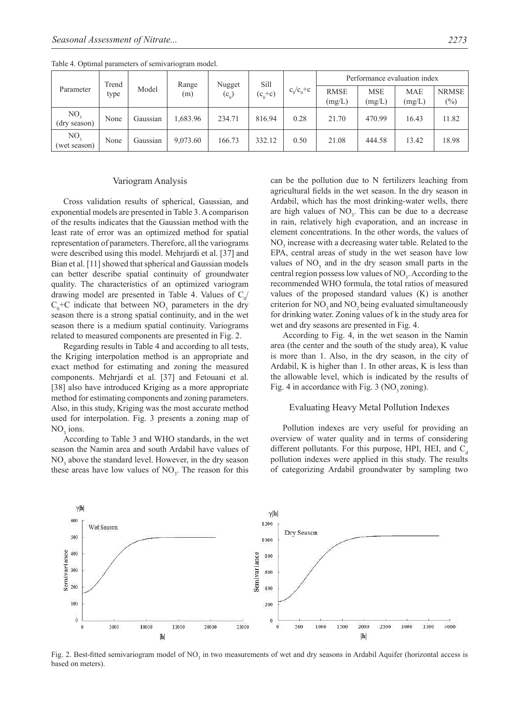|                                 | Trend |          | Range    |                   | Sill        |               | Performance evaluation index |                      |                      |                        |
|---------------------------------|-------|----------|----------|-------------------|-------------|---------------|------------------------------|----------------------|----------------------|------------------------|
| Parameter                       | type  | Model    | (m)      | Nugget<br>$(c_0)$ | $(c_0 + c)$ | $c_0/c_0+c_1$ | <b>RMSE</b><br>(mg/L)        | <b>MSE</b><br>(mg/L) | <b>MAE</b><br>(mg/L) | <b>NRMSE</b><br>$(\%)$ |
| NO <sub>3</sub><br>(dry season) | None  | Gaussian | .683.96  | 234.71            | 816.94      | 0.28          | 21.70                        | 470.99               | 16.43                | 11.82                  |
| NO <sub>2</sub><br>(wet season) | None  | Gaussian | 9,073.60 | 166.73            | 332.12      | 0.50          | 21.08                        | 444.58               | 13.42                | 18.98                  |

Table 4. Optimal parameters of semivariogram model.

### Variogram Analysis

Cross validation results of spherical, Gaussian, and exponential models are presented in Table 3. A comparison of the results indicates that the Gaussian method with the least rate of error was an optimized method for spatial representation of parameters. Therefore, all the variograms were described using this model. Mehrjardi et al. [37] and Bian et al. [11] showed that spherical and Gaussian models can better describe spatial continuity of groundwater quality. The characteristics of an optimized variogram drawing model are presented in Table 4. Values of  $C_0$ /  $C_0$ +C indicate that between NO<sub>3</sub> parameters in the dry season there is a strong spatial continuity, and in the wet season there is a medium spatial continuity. Variograms related to measured components are presented in Fig. 2.

Regarding results in Table 4 and according to all tests, the Kriging interpolation method is an appropriate and exact method for estimating and zoning the measured components. Mehrjardi et al. [37] and Fetouani et al. [38] also have introduced Kriging as a more appropriate method for estimating components and zoning parameters. Also, in this study, Kriging was the most accurate method used for interpolation. Fig. 3 presents a zoning map of  $NO<sub>3</sub>$  ions.

According to Table 3 and WHO standards, in the wet season the Namin area and south Ardabil have values of NO<sub>3</sub> above the standard level. However, in the dry season these areas have low values of  $NO<sub>3</sub>$ . The reason for this can be the pollution due to N fertilizers leaching from agricultural fields in the wet season. In the dry season in Ardabil, which has the most drinking-water wells, there are high values of  $NO<sub>3</sub>$ . This can be due to a decrease in rain, relatively high evaporation, and an increase in element concentrations. In the other words, the values of NO<sub>3</sub> increase with a decreasing water table. Related to the EPA, central areas of study in the wet season have low values of  $NO<sub>3</sub>$  and in the dry season small parts in the central region possess low values of  $NO<sub>3</sub>$ . According to the recommended WHO formula, the total ratios of measured values of the proposed standard values (K) is another criterion for  $NO<sub>3</sub>$  and  $NO<sub>2</sub>$  being evaluated simultaneously for drinking water. Zoning values of k in the study area for wet and dry seasons are presented in Fig. 4.

According to Fig. 4, in the wet season in the Namin area (the center and the south of the study area), K value is more than 1. Also, in the dry season, in the city of Ardabil, K is higher than 1. In other areas, K is less than the allowable level, which is indicated by the results of Fig. 4 in accordance with Fig. 3 ( $NO<sub>3</sub> zoning$ ).

#### Evaluating Heavy Metal Pollution Indexes

Pollution indexes are very useful for providing an overview of water quality and in terms of considering different pollutants. For this purpose, HPI, HEI, and  $C_{a}$ pollution indexes were applied in this study. The results of categorizing Ardabil groundwater by sampling two



Fig. 2. Best-fitted semivariogram model of  $NO<sub>3</sub>$  in two measurements of wet and dry seasons in Ardabil Aquifer (horizontal access is based on meters).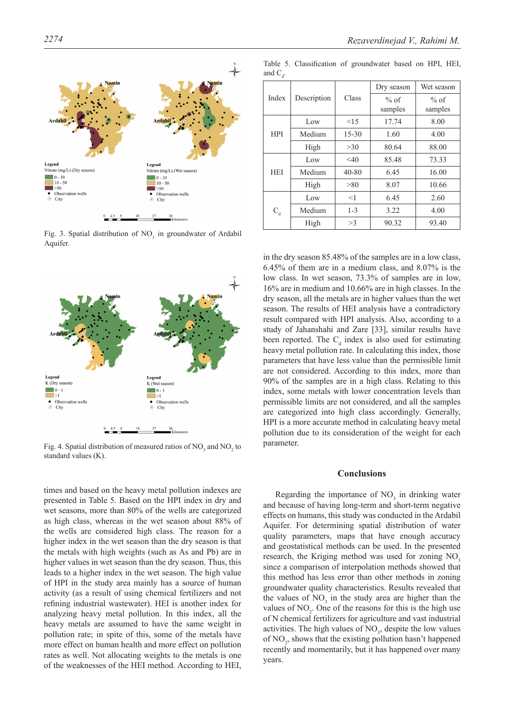

Fig. 3. Spatial distribution of  $NO<sub>3</sub>$  in groundwater of Ardabil Aquifer.



Fig. 4. Spatial distribution of measured ratios of  $NO_3$  and  $NO_2$  to standard values (K).

times and based on the heavy metal pollution indexes are presented in Table 5. Based on the HPI index in dry and wet seasons, more than 80% of the wells are categorized as high class, whereas in the wet season about 88% of the wells are considered high class. The reason for a higher index in the wet season than the dry season is that the metals with high weights (such as As and Pb) are in higher values in wet season than the dry season. Thus, this leads to a higher index in the wet season. The high value of HPI in the study area mainly has a source of human activity (as a result of using chemical fertilizers and not refining industrial wastewater). HEI is another index for analyzing heavy metal pollution. In this index, all the heavy metals are assumed to have the same weight in pollution rate; in spite of this, some of the metals have more effect on human health and more effect on pollution rates as well. Not allocating weights to the metals is one of the weaknesses of the HEI method. According to HEI,

| Index      |             |           | Dry season      | Wet season        |
|------------|-------------|-----------|-----------------|-------------------|
|            | Description | Class     | % of<br>samples | $%$ of<br>samples |
|            | Low         | <15       | 17.74           | 8.00              |
| <b>HPI</b> | Medium      | $15 - 30$ | 1.60            | 4.00              |
|            | High        | $>30$     | 80.64           | 88.00             |
| <b>HEI</b> | Low         | $<$ 40    | 85.48           | 73.33             |
|            | Medium      | $40 - 80$ | 6.45            | 16.00             |
|            | High        | > 80      | 8.07            | 10.66             |
|            | Low         | $<$ 1     | 6.45            | 2.60              |
| $C_{d}$    | Medium      | $1 - 3$   | 3.22            | 4.00              |
|            | High        | >3        | 90.32           | 93.40             |

Table 5. Classification of groundwater based on HPI, HEI, and  $C_d$ .

in the dry season 85.48% of the samples are in a low class, 6.45% of them are in a medium class, and 8.07% is the low class. In wet season, 73.3% of samples are in low, 16% are in medium and 10.66% are in high classes. In the dry season, all the metals are in higher values than the wet season. The results of HEI analysis have a contradictory result compared with HPI analysis. Also, according to a study of Jahanshahi and Zare [33], similar results have been reported. The  $C_d$  index is also used for estimating heavy metal pollution rate. In calculating this index, those parameters that have less value than the permissible limit are not considered. According to this index, more than 90% of the samples are in a high class. Relating to this index, some metals with lower concentration levels than permissible limits are not considered, and all the samples are categorized into high class accordingly. Generally, HPI is a more accurate method in calculating heavy metal pollution due to its consideration of the weight for each parameter.

# **Conclusions**

Regarding the importance of  $NO<sub>3</sub>$  in drinking water and because of having long-term and short-term negative effects on humans, this study was conducted in the Ardabil Aquifer. For determining spatial distribution of water quality parameters, maps that have enough accuracy and geostatistical methods can be used. In the presented research, the Kriging method was used for zoning  $NO<sub>3</sub>$ since a comparison of interpolation methods showed that this method has less error than other methods in zoning groundwater quality characteristics. Results revealed that the values of  $NO<sub>3</sub>$  in the study area are higher than the values of  $NO<sub>2</sub>$ . One of the reasons for this is the high use of N chemical fertilizers for agriculture and vast industrial activities. The high values of  $NO<sub>3</sub>$ , despite the low values of  $NO<sub>2</sub>$ , shows that the existing pollution hasn't happened recently and momentarily, but it has happened over many years.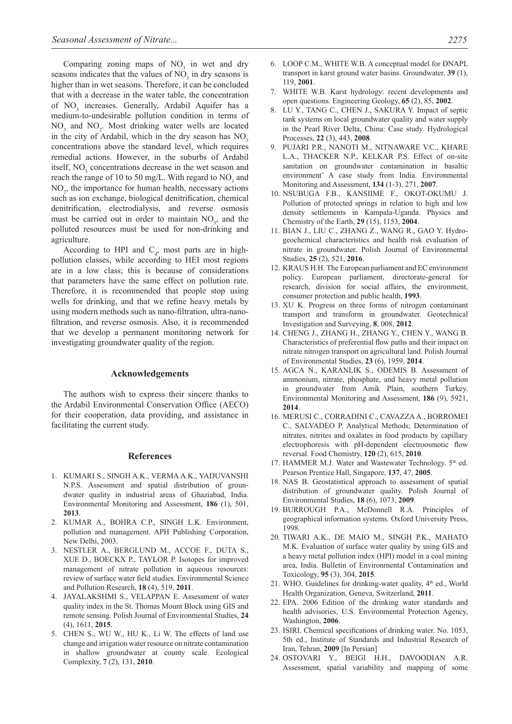Comparing zoning maps of  $NO<sub>3</sub>$  in wet and dry seasons indicates that the values of  $NO<sub>3</sub>$  in dry seasons is higher than in wet seasons. Therefore, it can be concluded that with a decrease in the water table, the concentration of NO<sub>3</sub> increases. Generally, Ardabil Aquifer has a medium-to-undesirable pollution condition in terms of  $NO<sub>3</sub>$  and  $NO<sub>2</sub>$ . Most drinking water wells are located in the city of Ardabil, which in the dry season has  $NO<sub>3</sub>$ concentrations above the standard level, which requires remedial actions. However, in the suburbs of Ardabil itself,  $NO<sub>3</sub>$  concentrations decrease in the wet season and reach the range of 10 to 50 mg/L. With regard to  $NO<sub>3</sub>$  and NO<sub>2</sub>, the importance for human health, necessary actions such as ion exchange, biological denitrification, chemical denitrification, electrodialysis, and reverse osmosis must be carried out in order to maintain  $NO<sub>3</sub>$ , and the polluted resources must be used for non-drinking and agriculture.

According to HPI and  $C_d$ , most parts are in highpollution classes, while according to HEI most regions are in a low class; this is because of considerations that parameters have the same effect on pollution rate. Therefore, it is recommended that people stop using wells for drinking, and that we refine heavy metals by using modern methods such as nano-filtration, ultra-nanofiltration, and reverse osmosis. Also, it is recommended that we develop a permanent monitoring network for investigating groundwater quality of the region.

#### **Acknowledgements**

The authors wish to express their sincere thanks to the Ardabil Environmental Conservation Office (AECO) for their cooperation, data providing, and assistance in facilitating the current study.

# **References**

- 1. KUMARI S., SINGH A.K., VERMA A.K., YADUVANSHI N.P.S. Assessment and spatial distribution of groundwater quality in industrial areas of Ghaziabad, India. Environmental Monitoring and Assessment, **186** (1), 501, **2013**.
- 2. KUMAR A., BOHRA C.P., SINGH L.K. Environment, pollution and management. APH Publishing Corporation, New Delhi, 2003.
- 3. NESTLER A., BERGLUND M., ACCOE F., DUTA S., XUE D., BOECKX P., TAYLOR P. Isotopes for improved management of nitrate pollution in aqueous resources: review of surface water field studies. Environmental Science and Pollution Research, **18** (4), 519, **2011**.
- 4. JAYALAKSHMI S., VELAPPAN E. Assessment of water quality index in the St. Thomas Mount Block using GIS and remote sensing. Polish Journal of Environmental Studies, **24** (4), 1611, **2015**.
- 5. CHEN S., WU W., HU K., Li W. The effects of land use change and irrigation water resource on nitrate contamination in shallow groundwater at county scale. Ecological Complexity, **7** (2), 131, **2010**.
- 6. LOOP C.M., WHITE W.B. A conceptual model for DNAPL transport in karst ground water basins. Groundwater, **39** (1), 119, **2001**.
- 7. WHITE W.B. Karst hydrology: recent developments and open questions. Engineering Geology, **65** (2), 85, **2002**.
- 8. LU Y., TANG C., CHEN J., SAKURA Y. Impact of septic tank systems on local groundwater quality and water supply in the Pearl River Delta, China: Case study. Hydrological Processes, **22** (3), 443, **2008**.
- 9. PUJARI P.R., NANOTI M., NITNAWARE V.C., KHARE L.A., THACKER N.P., KELKAR P.S. Effect of on-site sanitation on groundwater contamination in basaltic environment' A case study from India. Environmental Monitoring and Assessment, **134** (1-3), 271, **2007**.
- 10. NSUBUGA F.B., KANSIIME F., OKOT-OKUMU J. Pollution of protected springs in relation to high and low density settlements in Kampala-Uganda. Physics and Chemistry of the Earth, **29** (15), 1153, **2004**.
- 11. BIAN J., LIU C., ZHANG Z., WANG R., GAO Y. Hydrogeochemical characteristics and health risk evaluation of nitrate in groundwater. Polish Journal of Environmental Studies, **25** (2), 521, **2016**.
- 12. KRAUS H.H. The European parliament and EC environment policy. European parliament, directorate-general for research, division for social affairs, the environment, consumer protection and public health, **1993**.
- 13. XU K. Progress on three forms of nitrogen contaminant transport and transform in groundwater. Geotechnical Investigation and Surveying, **8**, 008, **2012**.
- 14. CHENG J., ZHANG H., ZHANG Y., CHEN Y., WANG B. Characteristics of preferential flow paths and their impact on nitrate nitrogen transport on agricultural land. Polish Journal of Environmental Studies, **23** (6), 1959, **2014**.
- 15. AGCA N., KARANLIK S., ODEMIS B. Assessment of ammonium, nitrate, phosphate, and heavy metal pollution in groundwater from Amik Plain, southern Turkey. Environmental Monitoring and Assessment, **186** (9), 5921, **2014**.
- 16. Merusi C., Corradini C., Cavazza A., Borromei C., SALVADEO P. Analytical Methods; Determination of nitrates, nitrites and oxalates in food products by capillary electrophoresis with pH-dependent electroosmotic flow reversal. Food Chemistry, **120** (2), 615, **2010**.
- 17. HAMMER M.J. Water and Wastewater Technology. 5<sup>th</sup> ed. Pearson Prentice Hall, Singapore, **137**, 47, **2005**.
- 18. NAS B. Geostatistical approach to assessment of spatial distribution of groundwater quality. Polish Journal of Environmental Studies, **18** (6), 1073, **2009**.
- 19. BURROUGH P.A., McDonnell R.A. Principles of geographical information systems. Oxford University Press, 1998.
- 20. TIWARI A.K., DE MAIO M., SINGH P.K., MAHATO M.K. Evaluation of surface water quality by using GIS and a heavy metal pollution index (HPI) model in a coal mining area, India. Bulletin of Environmental Contamination and Toxicology, **95** (3), 304, **2015**.
- 21. WHO. Guidelines for drinking-water quality,  $4<sup>th</sup>$  ed., World Health Organization, Geneva, Switzerland, **2011**.
- 22. EPA. 2006 Edition of the drinking water standards and health advisories, U.S. Environmental Protection Agency, Washington, **2006**.
- 23. ISIRI. Chemical specifications of drinking water. No. 1053, 5th ed., Institute of Standards and Industrial Research of Iran, Tehran, **2009** [In Persian]
- 24. OSTOVARI Y., BEIGI H.H., DAVOODIAN A.R. Assessment, spatial variability and mapping of some